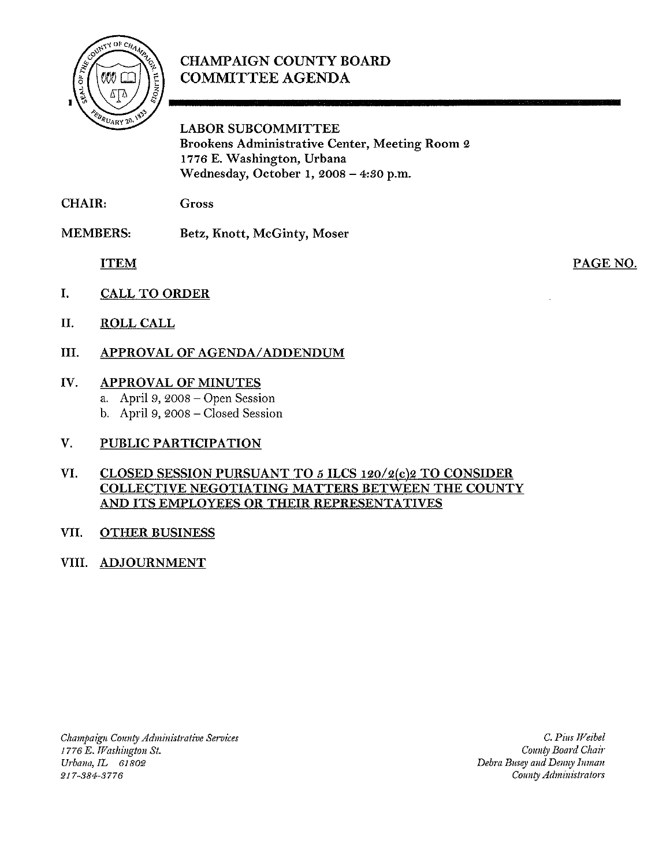

### CHAMPAIGN COUNTY BOARD COMMITTEE AGENDA

LABOR SUBCOMMITTEE Brookens Administrative Center, Meeting Room 2 1776 E. Washington, Urbana Wednesday, October 1, 2008 - 4:30 p.m.

CHAIR: Gross

MEMBERS: Betz, Knott, McGinty, Moser

ITEM

PAGE NO.

- I. CALL TO ORDER
- II. ROLL CALL
- III. APPROVAL OF AGENDA/ADDENDUM
- IV. APPROVAL OF MINUTES
	- a. April 9, 2008 Open Session
	- b. April 9, 2008 Closed Session
- V. PUBLIC PARTICIPATION
- VI. CLOSED SESSION PURSUANT TO 5 ILCS 120/2(c)2 TO CONSIDER COLLECTIVE NEGOTIATING MATTERS BETWEEN THE COUNTY AND ITS EMPLOYEES OR THEIR REPRESENTATIVES
- VII. OTHER BUSINESS
- VIII. ADJOURNMENT

*Champaign* COU1lty *Administrative Services 1776 E. Washington St. Urbana, IL 61802* 217-384--3776

C. *PillS Weibel County Board Chai,' Debra Busey and Denny Inman* County *Administrators*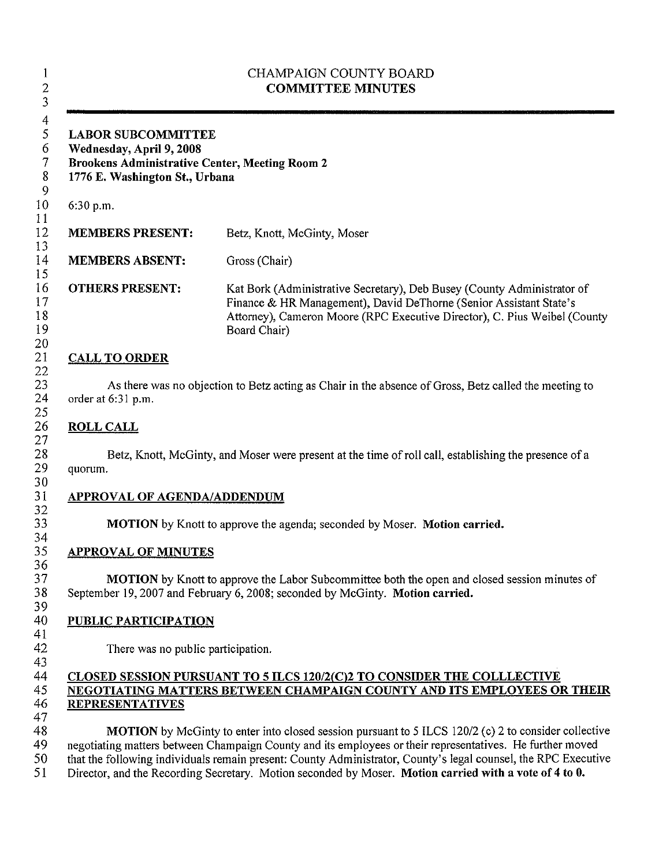| <b>LABOR SUBCOMMITTEE</b><br>Wednesday, April 9, 2008<br><b>Brookens Administrative Center, Meeting Room 2</b><br>1776 E. Washington St., Urbana |                                                                                                                                                                                                                                            |
|--------------------------------------------------------------------------------------------------------------------------------------------------|--------------------------------------------------------------------------------------------------------------------------------------------------------------------------------------------------------------------------------------------|
| 6:30 p.m.                                                                                                                                        |                                                                                                                                                                                                                                            |
| <b>MEMBERS PRESENT:</b>                                                                                                                          | Betz, Knott, McGinty, Moser                                                                                                                                                                                                                |
| <b>MEMBERS ABSENT:</b>                                                                                                                           | Gross (Chair)                                                                                                                                                                                                                              |
| <b>OTHERS PRESENT:</b>                                                                                                                           | Kat Bork (Administrative Secretary), Deb Busey (County Administrator of<br>Finance & HR Management), David DeThorne (Senior Assistant State's<br>Attorney), Cameron Moore (RPC Executive Director), C. Pius Weibel (County<br>Board Chair) |
| <b>CALL TO ORDER</b>                                                                                                                             |                                                                                                                                                                                                                                            |
| <b>ROLL CALL</b>                                                                                                                                 |                                                                                                                                                                                                                                            |
| quorum.<br><b>APPROVAL OF AGENDA/ADDENDUM</b>                                                                                                    |                                                                                                                                                                                                                                            |
|                                                                                                                                                  | Betz, Knott, McGinty, and Moser were present at the time of roll call, establishing the presence of a<br>MOTION by Knott to approve the agenda; seconded by Moser. Motion carried.                                                         |
| <b>APPROVAL OF MINUTES</b>                                                                                                                       | September 19, 2007 and February 6, 2008; seconded by McGinty. Motion carried.                                                                                                                                                              |
| <b>PUBLIC PARTICIPATION</b><br>There was no public participation.                                                                                | <b>MOTION</b> by Knott to approve the Labor Subcommittee both the open and closed session minutes of                                                                                                                                       |
| <b>REPRESENTATIVES</b>                                                                                                                           | <b>CLOSED SESSION PURSUANT TO 5 ILCS 120/2(C)2 TO CONSIDER THE COLLLECTIVE</b><br>NEGOTIATING MATTERS BETWEEN CHAMPAIGN COUNTY AND ITS EMPLOYEES OR THEIR                                                                                  |